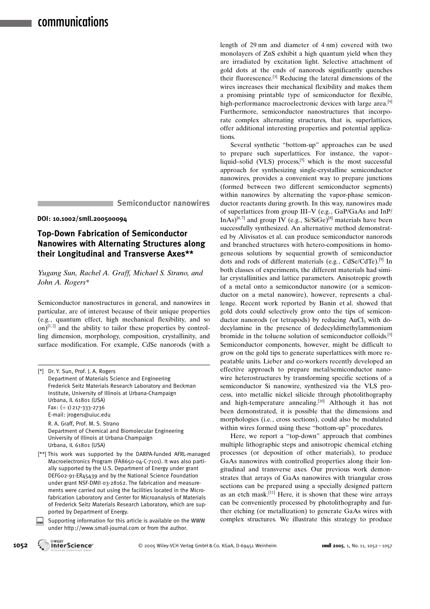Semiconductor nanowires

#### DOI: 10.1002/smll.200500094

## Top-Down Fabrication of Semiconductor Nanowires with Alternating Structures along their Longitudinal and Transverse Axes\*\*

Yugang Sun, Rachel A. Graff, Michael S. Strano, and John A. Rogers\*

Semiconductor nanostructures in general, and nanowires in particular, are of interest because of their unique properties (e.g., quantum effect, high mechanical flexibility, and so on) $[1,2]$  and the ability to tailor these properties by controlling dimension, morphology, composition, crystallinity, and surface modification. For example, CdSe nanorods (with a

| $\lceil$ *] | Dr. Y. Sun, Prof. J. A. Rogers                                 |
|-------------|----------------------------------------------------------------|
|             | Department of Materials Science and Engineering                |
|             | Frederick Seitz Materials Research Laboratory and Beckman      |
|             | Institute, University of Illinois at Urbana-Champaign          |
|             | Urbana, IL 61801 (USA)                                         |
|             | Fax: $(+1)$ 217-333-2736                                       |
|             | E-mail: jrogers@uiuc.edu                                       |
|             | R. A. Graff, Prof. M. S. Strano                                |
|             | Department of Chemical and Biomolecular Engineering            |
|             | University of Illinois at Urbana-Champaign                     |
|             | Urbana, IL 61801 (USA)                                         |
|             | [**] This work was supported by the DARPA-funded AFRL-managed  |
|             | Macroelectronics Program (EAR650-04-C-7101) It was also parti- |

(FA8650-04-C-7101). It was also partially supported by the U.S. Department of Energy under grant DEFG02-91-ER45439 and by the National Science Foundation under grant NSF-DMII 03-28162. The fabrication and measurements were carried out using the facilities located in the Microfabrication Laboratory and Center for Microanalysis of Materials of Frederick Seitz Materials Research Laboratory, which are supported by Department of Energy.

Supporting information for this article is available on the WWW under http://www.small-journal.com or from the author.

length of 29 nm and diameter of 4 nm) covered with two monolayers of ZnS exhibit a high quantum yield when they are irradiated by excitation light. Selective attachment of gold dots at the ends of nanorods significantly quenches their fluorescence.[3] Reducing the lateral dimensions of the wires increases their mechanical flexibility and makes them a promising printable type of semiconductor for flexible, high-performance macroelectronic devices with large area.<sup>[4]</sup> Furthermore, semiconductor nanostructures that incorporate complex alternating structures, that is, superlattices, offer additional interesting properties and potential applications.

Several synthetic "bottom-up" approaches can be used to prepare such superlattices. For instance, the vapor– liquid–solid (VLS) process, $[5]$  which is the most successful approach for synthesizing single-crystalline semiconductor nanowires, provides a convenient way to prepare junctions (formed between two different semiconductor segments) within nanowires by alternating the vapor-phase semiconductor reactants during growth. In this way, nanowires made of superlattices from group III–V (e.g., GaP/GaAs and InP/ InAs)<sup>[6,7]</sup> and group IV (e.g., Si/SiGe)<sup>[8]</sup> materials have been successfully synthesized. An alternative method demonstrated by Alivisatos et al. can produce semiconductor nanorods and branched structures with hetero-compositions in homogeneous solutions by sequential growth of semiconductor dots and rods of different materials (e.g., CdSe/CdTe).<sup>[9]</sup> In both classes of experiments, the different materials had similar crystallinities and lattice parameters. Anisotropic growth of a metal onto a semiconductor nanowire (or a semiconductor on a metal nanowire), however, represents a challenge. Recent work reported by Banin et al. showed that gold dots could selectively grow onto the tips of semiconductor nanorods (or tetrapods) by reducing  $AuCl<sub>3</sub>$  with dodecylamine in the presence of dedecyldimethylammonium bromide in the toluene solution of semiconductor colloids.[3] Semiconductor components, however, might be difficult to grow on the gold tips to generate superlattices with more repeatable units. Lieber and co-workers recently developed an effective approach to prepare metal/semiconductor nanowire heterostructures by transforming specific sections of a semiconductor Si nanowire, synthesized via the VLS process, into metallic nickel silicide through photolithography and high-temperature annealing.<sup>[10]</sup> Although it has not been demonstrated, it is possible that the dimensions and morphologies (i.e., cross sections), could also be modulated within wires formed using these "bottom-up" procedures.

Here, we report a "top-down" approach that combines multiple lithographic steps and anisotropic chemical etching processes (or deposition of other materials), to produce GaAs nanowires with controlled properties along their longitudinal and transverse axes. Our previous work demonstrates that arrays of GaAs nanowires with triangular cross sections can be prepared using a specially designed pattern as an etch mask.[11] Here, it is shown that these wire arrays can be conveniently processed by photolithography and further etching (or metallization) to generate GaAs wires with complex structures. We illustrate this strategy to produce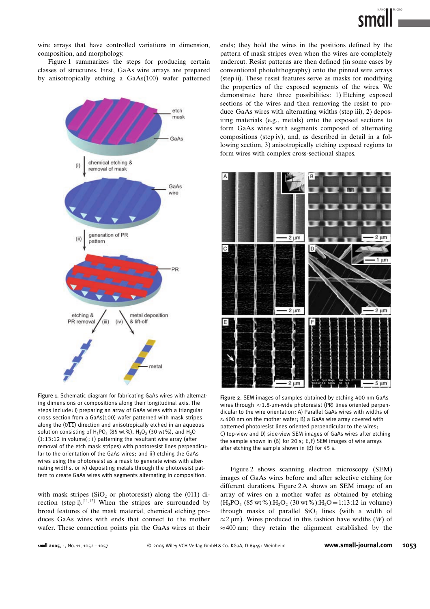

wire arrays that have controlled variations in dimension, composition, and morphology.

Figure 1 summarizes the steps for producing certain classes of structures. First, GaAs wire arrays are prepared by anisotropically etching a GaAs(100) wafer patterned



Figure 1. Schematic diagram for fabricating GaAs wires with alternating dimensions or compositions along their longitudinal axis. The steps include: i) preparing an array of GaAs wires with a triangular cross section from a GaAs(100) wafer patterned with mask stripes along the  $(0\overline{11})$  direction and anisotropically etched in an aqueous solution consisting of  $H_3PO_4$  (85 wt%),  $H_2O_2$  (30 wt%), and  $H_2O$ (1:13:12 in volume); ii) patterning the resultant wire array (after removal of the etch mask stripes) with photoresist lines perpendicular to the orientation of the GaAs wires; and iii) etching the GaAs wires using the photoresist as a mask to generate wires with alternating widths, or iv) depositing metals through the photoresist pattern to create GaAs wires with segments alternating in composition.

with mask stripes (SiO<sub>2</sub> or photoresist) along the (0 $\overline{11}$ ) direction (step i).<sup>[11,12]</sup> When the stripes are surrounded by broad features of the mask material, chemical etching produces GaAs wires with ends that connect to the mother wafer. These connection points pin the GaAs wires at their ends; they hold the wires in the positions defined by the pattern of mask stripes even when the wires are completely undercut. Resist patterns are then defined (in some cases by conventional photolithography) onto the pinned wire arrays (step ii). These resist features serve as masks for modifying the properties of the exposed segments of the wires. We demonstrate here three possibilities: 1) Etching exposed sections of the wires and then removing the resist to produce GaAs wires with alternating widths (step iii), 2) depositing materials (e.g., metals) onto the exposed sections to form GaAs wires with segments composed of alternating compositions (step iv), and, as described in detail in a following section, 3) anisotropically etching exposed regions to form wires with complex cross-sectional shapes.



Figure 2. SEM images of samples obtained by etching 400 nm GaAs wires through  $\approx$  1.8-µm-wide photoresist (PR) lines oriented perpendicular to the wire orientation: A) Parallel GaAs wires with widths of  $\approx$  400 nm on the mother wafer; B) a GaAs wire array covered with patterned photoresist lines oriented perpendicular to the wires ; C) top-view and D) side-view SEM images of GaAs wires after etching the sample shown in  $(B)$  for 20 s; E, F) SEM images of wire arrays after etching the sample shown in (B) for 45 s.

Figure 2 shows scanning electron microscopy (SEM) images of GaAs wires before and after selective etching for different durations. Figure 2A shows an SEM image of an array of wires on a mother wafer as obtained by etching  $(H_3PO_4 (85 wt\%)$ :H<sub>2</sub>O<sub>2</sub> (30 wt%):H<sub>2</sub>O = 1:13:12 in volume) through masks of parallel  $SiO<sub>2</sub>$  lines (with a width of  $\approx$  2 µm). Wires produced in this fashion have widths (W) of  $\approx 400$  nm; they retain the alignment established by the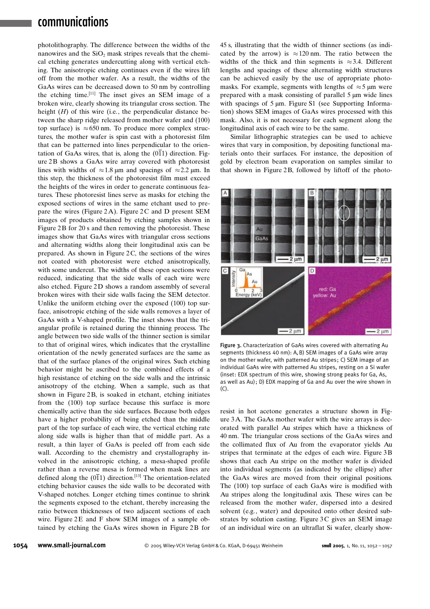# communications

photolithography. The difference between the widths of the nanowires and the  $SiO<sub>2</sub>$  mask stripes reveals that the chemical etching generates undercutting along with vertical etching. The anisotropic etching continues even if the wires lift off from the mother wafer. As a result, the widths of the GaAs wires can be decreased down to 50 nm by controlling the etching time.[11] The inset gives an SEM image of a broken wire, clearly showing its triangular cross section. The height  $(H)$  of this wire (i.e., the perpendicular distance between the sharp ridge released from mother wafer and (100) top surface) is  $\approx 650$  nm. To produce more complex structures, the mother wafer is spin cast with a photoresist film that can be patterned into lines perpendicular to the orientation of GaAs wires, that is, along the  $(0\overline{1}1)$  direction. Figure 2B shows a GaAs wire array covered with photoresist lines with widths of  $\approx 1.8$  µm and spacings of  $\approx 2.2$  µm. In this step, the thickness of the photoresist film must exceed the heights of the wires in order to generate continuous features. These photoresist lines serve as masks for etching the exposed sections of wires in the same etchant used to prepare the wires (Figure  $2A$ ). Figure  $2C$  and D present SEM images of products obtained by etching samples shown in Figure 2B for 20 s and then removing the photoresist. These images show that GaAs wires with triangular cross sections and alternating widths along their longitudinal axis can be prepared. As shown in Figure  $2C$ , the sections of the wires not coated with photoresist were etched anisotropically, with some undercut. The widths of these open sections were reduced, indicating that the side walls of each wire were also etched. Figure 2D shows a random assembly of several broken wires with their side walls facing the SEM detector. Unlike the uniform etching over the exposed (100) top surface, anisotropic etching of the side walls removes a layer of GaAs with a V-shaped profile. The inset shows that the triangular profile is retained during the thinning process. The angle between two side walls of the thinner section is similar to that of original wires, which indicates that the crystalline orientation of the newly generated surfaces are the same as that of the surface planes of the original wires. Such etching behavior might be ascribed to the combined effects of a high resistance of etching on the side walls and the intrinsic anisotropy of the etching. When a sample, such as that shown in Figure 2B, is soaked in etchant, etching initiates from the (100) top surface because this surface is more chemically active than the side surfaces. Because both edges have a higher probability of being etched than the middle part of the top surface of each wire, the vertical etching rate along side walls is higher than that of middle part. As a result, a thin layer of GaAs is peeled off from each side wall. According to the chemistry and crystallography involved in the anisotropic etching, a mesa-shaped profile rather than a reverse mesa is formed when mask lines are defined along the  $(0\overline{1}1)$  direction.<sup>[13]</sup> The orientation-related etching behavior causes the side walls to be decorated with V-shaped notches. Longer etching times continue to shrink the segments exposed to the etchant, thereby increasing the ratio between thicknesses of two adjacent sections of each wire. Figure 2 E and F show SEM images of a sample obtained by etching the GaAs wires shown in Figure 2B for 45 s, illustrating that the width of thinner sections (as indicated by the arrow) is  $\approx 120$  nm. The ratio between the widths of the thick and thin segments is  $\approx 3.4$ . Different lengths and spacings of these alternating width structures can be achieved easily by the use of appropriate photomasks. For example, segments with lengths of  $\approx$  5 µm were prepared with a mask consisting of parallel  $5 \mu m$  wide lines with spacings of  $5 \mu m$ . Figure S1 (see Supporting Information) shows SEM images of GaAs wires processed with this mask. Also, it is not necessary for each segment along the longitudinal axis of each wire to be the same.

Similar lithographic strategies can be used to achieve wires that vary in composition, by depositing functional materials onto their surfaces. For instance, the deposition of gold by electron beam evaporation on samples similar to that shown in Figure 2B, followed by liftoff of the photo-



Figure 3. Characterization of GaAs wires covered with alternating Au segments (thickness 40 nm): A, B) SEM images of a GaAs wire array on the mother wafer, with patterned Au stripes; C) SEM image of an individual GaAs wire with patterned Au stripes, resting on a Si wafer (inset: EDX spectrum of this wire, showing strong peaks for Ga, As, as well as Au); D) EDX mapping of Ga and Au over the wire shown in (C).

resist in hot acetone generates a structure shown in Figure 3A. The GaAs mother wafer with the wire arrays is decorated with parallel Au stripes which have a thickness of 40 nm. The triangular cross sections of the GaAs wires and the collimated flux of Au from the evaporator yields Au stripes that terminate at the edges of each wire. Figure 3B shows that each Au stripe on the mother wafer is divided into individual segments (as indicated by the ellipse) after the GaAs wires are moved from their original positions. The (100) top surface of each GaAs wire is modified with Au stripes along the longitudinal axis. These wires can be released from the mother wafer, dispersed into a desired solvent (e.g., water) and deposited onto other desired substrates by solution casting. Figure 3C gives an SEM image of an individual wire on an ultraflat Si wafer, clearly show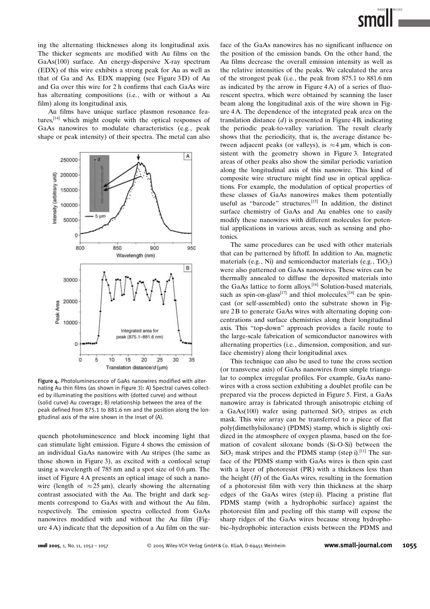ing the alternating thicknesses along its longitudinal axis. The thicker segments are modified with Au films on the GaAs(100) surface. An energy-dispersive X-ray spectrum (EDX) of this wire exhibits a strong peak for Au as well as that of Ga and As. EDX mapping (see Figure 3D) of Au and Ga over this wire for 2 h confirms that each GaAs wire has alternating compositions (i.e., with or without a Au film) along its longitudinal axis.

Au films have unique surface plasmon resonance features,[14] which might couple with the optical responses of GaAs nanowires to modulate characteristics (e.g., peak shape or peak intensity) of their spectra. The metal can also



Figure 4. Photoluminescence of GaAs nanowires modified with alternating Au thin films (as shown in Figure 3): A) Spectral curves collected by illuminating the positions with (dotted curve) and without (solid curve) Au coverage; B) relationship between the area of the peak defined from 875.1 to 881.6 nm and the position along the longitudinal axis of the wire shown in the inset of (A).

quench photoluminescence and block incoming light that can stimulate light emission. Figure 4 shows the emission of an individual GaAs nanowire with Au stripes (the same as those shown in Figure 3), as excited with a confocal setup using a wavelength of 785 nm and a spot size of 0.6  $\mu$ m. The inset of Figure 4A presents an optical image of such a nanowire (length of  $\approx 25 \text{ }\mu\text{m}$ ), clearly showing the alternating contrast associated with the Au. The bright and dark segments correspond to GaAs with and without the Au film, respectively. The emission spectra collected from GaAs nanowires modified with and without the Au film (Figure 4A) indicate that the deposition of a Au film on the surface of the GaAs nanowires has no significant influence on the position of the emission bands. On the other hand, the Au films decrease the overall emission intensity as well as the relative intensities of the peaks. We calculated the area of the strongest peak (i.e., the peak from 875.1 to 881.6 nm as indicated by the arrow in Figure 4A) of a series of fluorescent spectra, which were obtained by scanning the laser beam along the longitudinal axis of the wire shown in Figure 4A. The dependence of the integrated peak area on the translation distance  $(d)$  is presented in Figure 4B, indicating the periodic peak-to-valley variation. The result clearly shows that the periodicity, that is, the average distance between adjacent peaks (or valleys), is  $\approx$  4  $\mu$ m, which is consistent with the geometry shown in Figure 3. Integrated areas of other peaks also show the similar periodic variation along the longitudinal axis of this nanowire. This kind of composite wire structure might find use in optical applications. For example, the modulation of optical properties of these classes of GaAs nanowires makes them potentially useful as "barcode" structures.<sup>[15]</sup> In addition, the distinct surface chemistry of GaAs and Au enables one to easily modify these nanowires with different molecules for potential applications in various areas, such as sensing and photonics.

The same procedures can be used with other materials that can be patterned by liftoff. In addition to Au, magnetic materials (e.g., Ni) and semiconductor materials (e.g.,  $TiO<sub>2</sub>$ ) were also patterned on GaAs nanowires. These wires can be thermally annealed to diffuse the deposited materials into the GaAs lattice to form alloys.<sup>[16]</sup> Solution-based materials, such as spin-on-glass<sup>[17]</sup> and thiol molecules,<sup>[18]</sup> can be spincast (or self-assembled) onto the substrate shown in Figure 2 B to generate GaAs wires with alternating doping concentrations and surface chemistries along their longitudinal axis. This "top-down" approach provides a facile route to the large-scale fabrication of semiconductor nanowires with alternating properties (i.e., dimension, composition, and surface chemistry) along their longitudinal axes.

This technique can also be used to tune the cross section (or transverse axis) of GaAs nanowires from simple triangular to complex irregular profiles. For example, GaAs nanowires with a cross section exhibiting a doublet profile can be prepared via the process depicted in Figure 5. First, a GaAs nanowire array is fabricated through anisotropic etching of a GaAs $(100)$  wafer using patterned SiO<sub>2</sub> stripes as etch mask. This wire array can be transferred to a piece of flat poly(dimethylsiloxane) (PDMS) stamp, which is slightly oxidized in the atmosphere of oxygen plasma, based on the formation of covalent siloxane bonds (Si-O-Si) between the  $SiO<sub>2</sub>$  mask stripes and the PDMS stamp (step i).<sup>[11]</sup> The surface of the PDMS stamp with GaAs wires is then spin cast with a layer of photoresist (PR) with a thickness less than the height  $(H)$  of the GaAs wires, resulting in the formation of a photoresist film with very thin thickness at the sharp edges of the GaAs wires (step ii). Placing a pristine flat PDMS stamp (with a hydrophobic surface) against the photoresist film and peeling off this stamp will expose the sharp ridges of the GaAs wires because strong hydrophobic–hydrophobic interaction exists between the PDMS and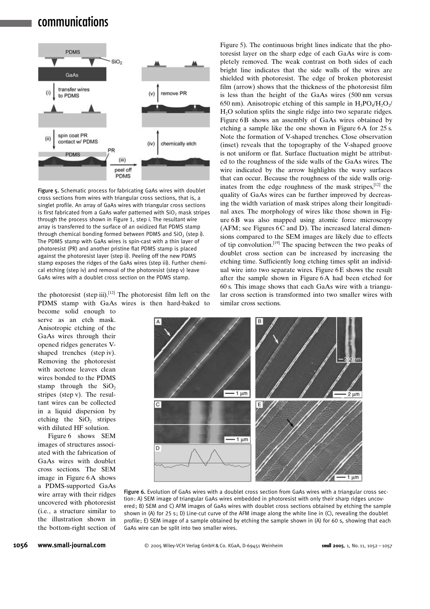# communications



Figure 5. Schematic process for fabricating GaAs wires with doublet cross sections from wires with triangular cross sections, that is, a singlet profile. An array of GaAs wires with triangular cross sections is first fabricated from a GaAs wafer patterned with  $SiO<sub>2</sub>$  mask stripes through the process shown in Figure 1, step i. The resultant wire array is transferred to the surface of an oxidized flat PDMS stamp through chemical bonding formed between PDMS and  $SiO<sub>2</sub>$  (step i). The PDMS stamp with GaAs wires is spin-cast with a thin layer of photoresist (PR) and another pristine flat PDMS stamp is placed against the photoresist layer (step ii). Peeling off the new PDMS stamp exposes the ridges of the GaAs wires (step iii). Further chemical etching (step iv) and removal of the photoresist (step v) leave GaAs wires with a doublet cross section on the PDMS stamp.

the photoresist (step iii).<sup>[12]</sup> The photoresist film left on the PDMS stamp with GaAs wires is then hard-baked to

become solid enough to serve as an etch mask. Anisotropic etching of the GaAs wires through their opened ridges generates Vshaped trenches (step iv). Removing the photoresist with acetone leaves clean wires bonded to the PDMS stamp through the  $SiO<sub>2</sub>$ stripes (step v). The resultant wires can be collected in a liquid dispersion by etching the  $SiO<sub>2</sub>$  stripes with diluted HF solution.

Figure 6 shows SEM images of structures associated with the fabrication of GaAs wires with doublet cross sections. The SEM image in Figure 6A shows a PDMS-supported GaAs wire array with their ridges uncovered with photoresist (i.e., a structure similar to the illustration shown in the bottom-right section of Figure 5). The continuous bright lines indicate that the photoresist layer on the sharp edge of each GaAs wire is completely removed. The weak contrast on both sides of each bright line indicates that the side walls of the wires are shielded with photoresist. The edge of broken photoresist film (arrow) shows that the thickness of the photoresist film is less than the height of the GaAs wires (500 nm versus 650 nm). Anisotropic etching of this sample in  $H_3PO_4/H_2O_2/$ H2O solution splits the single ridge into two separate ridges. Figure 6B shows an assembly of GaAs wires obtained by etching a sample like the one shown in Figure 6A for 25 s. Note the formation of V-shaped trenches. Close observation (inset) reveals that the topography of the V-shaped groove is not uniform or flat. Surface fluctuation might be attributed to the roughness of the side walls of the GaAs wires. The wire indicated by the arrow highlights the wavy surfaces that can occur. Because the roughness of the side walls originates from the edge roughness of the mask stripes, $[12]$  the quality of GaAs wires can be further improved by decreasing the width variation of mask stripes along their longitudinal axes. The morphology of wires like those shown in Figure 6B was also mapped using atomic force microscopy  $(AFM; see Figures 6C and D).$  The increased lateral dimensions compared to the SEM images are likely due to effects of tip convolution.[19] The spacing between the two peaks of doublet cross section can be increased by increasing the etching time. Sufficiently long etching times split an individual wire into two separate wires. Figure  $6E$  shows the result after the sample shown in Figure 6A had been etched for 60 s. This image shows that each GaAs wire with a triangular cross section is transformed into two smaller wires with similar cross sections.



Figure 6. Evolution of GaAs wires with a doublet cross section from GaAs wires with a triangular cross section: A) SEM image of triangular GaAs wires embedded in photoresist with only their sharp ridges uncovered; B) SEM and C) AFM images of GaAs wires with doublet cross sections obtained by etching the sample shown in (A) for 25 s; D) Line-cut curve of the AFM image along the white line in (C), revealing the doublet profile; E) SEM image of a sample obtained by etching the sample shown in (A) for 60 s, showing that each GaAs wire can be split into two smaller wires.